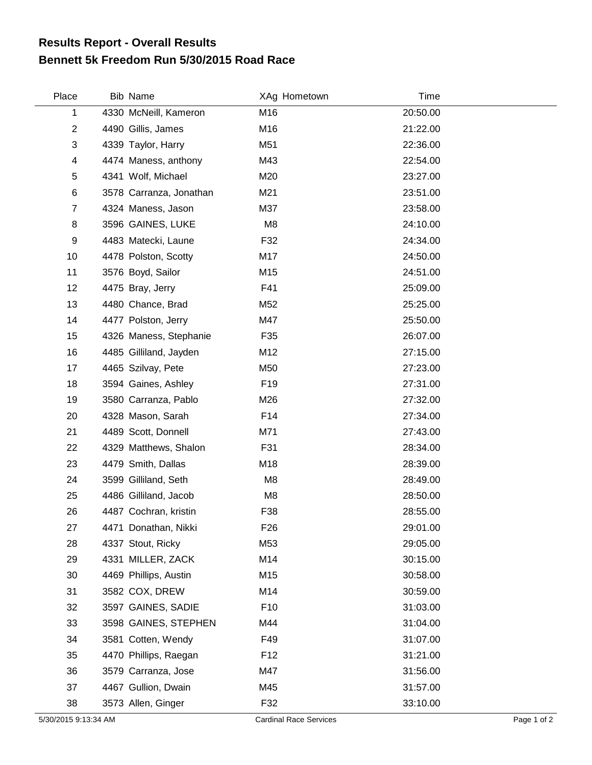## **Bennett 5k Freedom Run 5/30/2015 Road Race Results Report - Overall Results**

| Place          | <b>Bib Name</b>       |                         | XAg Hometown    | Time     |
|----------------|-----------------------|-------------------------|-----------------|----------|
| 1              |                       | 4330 McNeill, Kameron   | M16             | 20:50.00 |
| $\overline{2}$ | 4490 Gillis, James    |                         | M16             | 21:22.00 |
| 3              | 4339 Taylor, Harry    |                         | M51             | 22:36.00 |
| 4              |                       | 4474 Maness, anthony    | M43             | 22:54.00 |
| 5              | 4341 Wolf, Michael    |                         | M20             | 23:27.00 |
| $\,6$          |                       | 3578 Carranza, Jonathan | M21             | 23:51.00 |
| $\overline{7}$ | 4324 Maness, Jason    |                         | M37             | 23:58.00 |
| 8              | 3596 GAINES, LUKE     |                         | M <sub>8</sub>  | 24:10.00 |
| 9              | 4483 Matecki, Laune   |                         | F32             | 24:34.00 |
| 10             | 4478 Polston, Scotty  |                         | M17             | 24:50.00 |
| 11             | 3576 Boyd, Sailor     |                         | M15             | 24:51.00 |
| 12             | 4475 Bray, Jerry      |                         | F41             | 25:09.00 |
| 13             | 4480 Chance, Brad     |                         | M52             | 25:25.00 |
| 14             | 4477 Polston, Jerry   |                         | M47             | 25:50.00 |
| 15             |                       | 4326 Maness, Stephanie  | F35             | 26:07.00 |
| 16             |                       | 4485 Gilliland, Jayden  | M12             | 27:15.00 |
| 17             | 4465 Szilvay, Pete    |                         | M50             | 27:23.00 |
| 18             | 3594 Gaines, Ashley   |                         | F <sub>19</sub> | 27:31.00 |
| 19             |                       | 3580 Carranza, Pablo    | M26             | 27:32.00 |
| 20             | 4328 Mason, Sarah     |                         | F14             | 27:34.00 |
| 21             | 4489 Scott, Donnell   |                         | M71             | 27:43.00 |
| 22             |                       | 4329 Matthews, Shalon   | F31             | 28:34.00 |
| 23             | 4479 Smith, Dallas    |                         | M18             | 28:39.00 |
| 24             | 3599 Gilliland, Seth  |                         | M <sub>8</sub>  | 28:49.00 |
| 25             | 4486 Gilliland, Jacob |                         | M8              | 28:50.00 |
| 26             | 4487 Cochran, kristin |                         | F38             | 28:55.00 |
| 27             | 4471 Donathan, Nikki  |                         | F <sub>26</sub> | 29:01.00 |
| 28             | 4337 Stout, Ricky     |                         | M53             | 29:05.00 |
| 29             | 4331 MILLER, ZACK     |                         | M14             | 30:15.00 |
| 30             | 4469 Phillips, Austin |                         | M15             | 30:58.00 |
| 31             | 3582 COX, DREW        |                         | M14             | 30:59.00 |
| 32             |                       | 3597 GAINES, SADIE      | F <sub>10</sub> | 31:03.00 |
| 33             |                       | 3598 GAINES, STEPHEN    | M44             | 31:04.00 |
| 34             | 3581 Cotten, Wendy    |                         | F49             | 31:07.00 |
| 35             |                       | 4470 Phillips, Raegan   | F <sub>12</sub> | 31:21.00 |
| 36             | 3579 Carranza, Jose   |                         | M47             | 31:56.00 |
| 37             | 4467 Gullion, Dwain   |                         | M45             | 31:57.00 |
| 38             | 3573 Allen, Ginger    |                         | F32             | 33:10.00 |